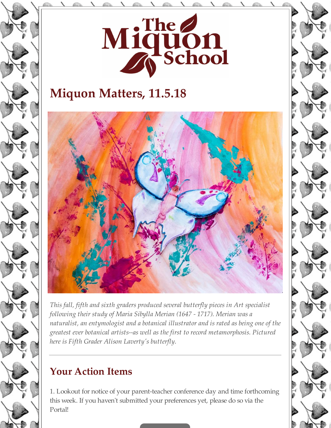

# **Miquon Matters, 11.5.18**



*This fall, fifth and sixth graders produced several butterfly pieces in Art specialist following their study of Maria Sibylla Merian (1647 - 1717). Merian was a naturalist, an entymologist and a botanical illustrator and is rated as being one of the greatest ever botanical artists--as well as the first to record metamorphosis. Pictured here is Fifth Grader Alison Laverty's butterfly.*

## **Your Action Items**

1. Lookout for notice of your parent-teacher conference day and time forthcoming this week. If you haven't submitted your preferences yet, please do so via the Portal!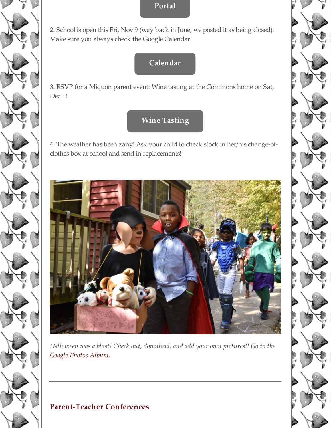#### **Portal**

2. School is open this Fri, Nov 9 (way back in June, we posted it as being closed). Make sure you always check the Google Calendar!

### **Calendar**

3. RSVP for a Miquon parent event: Wine tasting at the Commons home on Sat, Dec 1!

### **Wine Tasting**

4. The weather has been zany! Ask your child to check stock in her/his change-ofclothes box at school and send in replacements!



*Halloween was a blast! Check out, download, and add your own pictures!! Go to the Google Photos Album.*

#### **Parent-Teacher Conferences**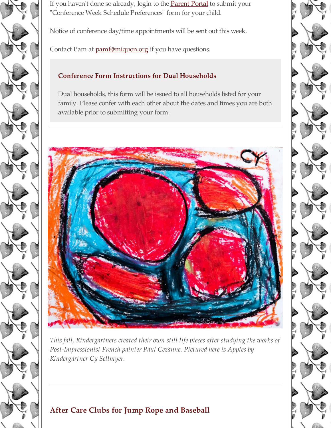

If you haven't done so already, login to the **Parent Portal** to submit your "Conference Week Schedule Preferences" form for your child.

Notice of conference day/time appointments will be sent out this week.

Contact Pam at **pamf@miquon.org** if you have questions.

#### **Conference Form Instructions for Dual Households**

Dual households, this form will be issued to all households listed for your family. Please confer with each other about the dates and times you are both available prior to submitting your form.



*This fall, Kindergartners created their own still life pieces after studying the works of Post-Impressionist French painter Paul Cezanne. Pictured here is Apples by Kindergartner Cy Sellmyer.*

## **After Care Clubs for Jump Rope and Baseball**

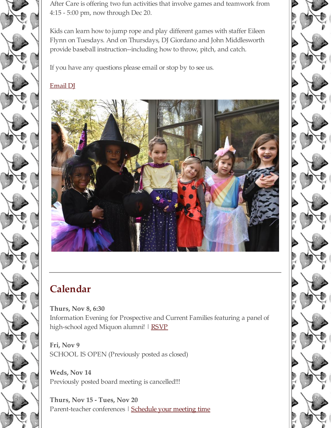After Care is offering two fun activities that involve games and teamwork from 4:15 - 5:00 pm, now through Dec 20.

Kids can learn how to jump rope and play different games with staffer Eileen Flynn on Tuesdays. And on Thursdays, DJ Giordano and John Middlesworth provide baseball instruction--including how to throw, pitch, and catch.

If you have any questions please email or stop by to see us.

#### Email DJ



# **Calendar**

**Thurs, Nov 8, 6:30** Information Evening for Prospective and Current Families featuring a panel of high-school aged Miquon alumni! | RSVP

**Fri, Nov 9** SCHOOL IS OPEN (Previously posted as closed)

**Weds, Nov 14** Previously posted board meeting is cancelled!!!

**Thurs, Nov 15 - Tues, Nov 20** Parent-teacher conferences | Schedule your meeting time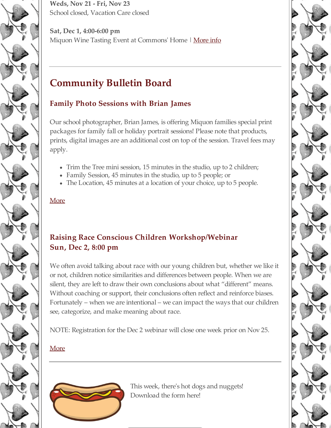

**Weds, Nov 21 - Fri, Nov 23** School closed, Vacation Care closed

**Sat, Dec 1, 4:00-6:00 pm** Miquon Wine Tasting Event at Commons' Home | More info

## **Community Bulletin Board**

#### **Family Photo Sessions with Brian James**

Our school photographer, Brian James, is offering Miquon families special print packages for family fall or holiday portrait sessions! Please note that products, prints, digital images are an additional cost on top of the session. Travel fees may apply.

- Trim the Tree mini session, 15 minutes in the studio, up to 2 children;
- Family Session, 45 minutes in the studio, up to 5 people; or
- The Location, 45 minutes at a location of your choice, up to 5 people.

#### More

#### **Raising Race Conscious Children Workshop/Webinar Sun, Dec 2, 8:00 pm**

We often avoid talking about race with our young children but, whether we like it or not, children notice similarities and differences between people. When we are silent, they are left to draw their own conclusions about what "different" means. Without coaching or support, their conclusions often reflect and reinforce biases. Fortunately – when we are intentional – we can impact the ways that our children see, categorize, and make meaning about race.

NOTE: Registration for the Dec 2 webinar will close one week prior on Nov 25.

#### More



This week, there's hot dogs and nuggets! Download the form here!